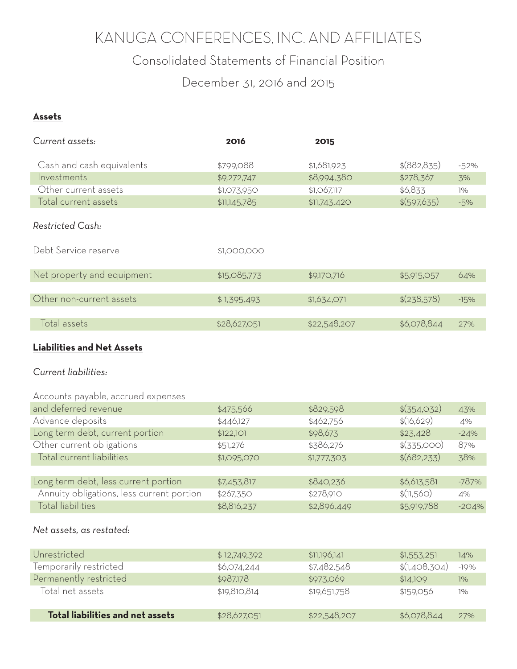# KANUGA CONFERENCES, INC. AND AFFILIATES

### Consolidated Statements of Financial Position

### December 31, 2016 and 2015

#### **Assets**

| Current assets:                    | 2016         | 2015         |             |        |
|------------------------------------|--------------|--------------|-------------|--------|
| Cash and cash equivalents          | \$799,088    | \$1,681,923  | \$(882,835) | $-52%$ |
| Investments                        | \$9,272,747  | \$8,994,380  | \$278,367   | 3%     |
| Other current assets               | \$1,073,950  | \$1,067,117  | \$6,833     | $1\%$  |
| Total current assets               | \$11,145,785 | \$11,743,420 | \$(597,635) | $-5%$  |
| Restricted Cash:                   |              |              |             |        |
| Debt Service reserve               | \$1,000,000  |              |             |        |
|                                    |              |              |             |        |
| Net property and equipment         | \$15,085,773 | \$9,170,716  | \$5,915,057 | 64%    |
|                                    |              |              |             |        |
| Other non-current assets           | \$1,395,493  | \$1,634,071  | \$(238,578) | $-15%$ |
|                                    |              |              |             |        |
| Total assets                       | \$28,627,051 | \$22,548,207 | \$6,078,844 | 27%    |
| <b>Liabilities and Net Assets</b>  |              |              |             |        |
| <b>Current liabilities:</b>        |              |              |             |        |
| Accounts payable, accrued expenses |              |              |             |        |

| and deferred revenue                      | \$475,566   | \$829,598   | \$(354,032)    | 43%     |
|-------------------------------------------|-------------|-------------|----------------|---------|
| Advance deposits                          | \$446,127   | \$462,756   | \$(16,629)     | 4%      |
| Long term debt, current portion           | \$122,101   | \$98,673    | \$23,428       | $-24%$  |
| Other current obligations                 | \$51,276    | \$386,276   | \$(335,000)    | 87%     |
| Total current liabilities                 | \$1,095,070 | \$1,777,303 | $\{(682, 233)$ | 38%     |
|                                           |             |             |                |         |
| Long term debt, less current portion      | \$7,453,817 | \$840,236   | \$6,613,581    | $-787%$ |
| Annuity obligations, less current portion | \$267,350   | \$278,910   | \$(11,560)     | 4%      |
| Total liabilities                         | \$8,816,237 | \$2,896,449 | \$5,919,788    | $-204%$ |
|                                           |             |             |                |         |

#### *Net assets, as restated:*

| Unrestricted                     | \$12,749,392 | \$11,196,141 | \$1,55,3,251  | 14%    |
|----------------------------------|--------------|--------------|---------------|--------|
| Temporarily restricted           | \$6,074,244  | \$7,482,548  | \$(1,408,304) | $-19%$ |
| Permanently restricted           | \$987,178    | \$973,069    | \$14,109      | $1\%$  |
| Total net assets                 | \$19,810,814 | \$19,651,758 | \$159,056     | 1%     |
| Total liabilities and net assets | \$28,627,051 | \$22,548,207 | \$6,078,844   | 27%    |